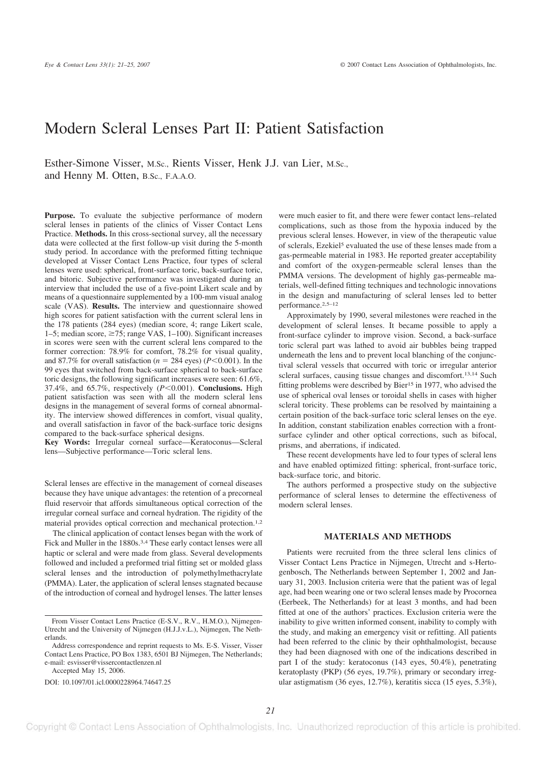# Modern Scleral Lenses Part II: Patient Satisfaction

Esther-Simone Visser, M.Sc., Rients Visser, Henk J.J. van Lier, M.Sc., and Henny M. Otten, B.Sc., F.A.A.O.

Purpose. To evaluate the subjective performance of modern scleral lenses in patients of the clinics of Visser Contact Lens Practice. **Methods.** In this cross-sectional survey, all the necessary data were collected at the first follow-up visit during the 5-month study period. In accordance with the preformed fitting technique developed at Visser Contact Lens Practice, four types of scleral lenses were used: spherical, front-surface toric, back-surface toric, and bitoric. Subjective performance was investigated during an interview that included the use of a five-point Likert scale and by means of a questionnaire supplemented by a 100-mm visual analog scale (VAS). **Results.** The interview and questionnaire showed high scores for patient satisfaction with the current scleral lens in the 178 patients (284 eyes) (median score, 4; range Likert scale, 1–5; median score,  $\geq$  75; range VAS, 1–100). Significant increases in scores were seen with the current scleral lens compared to the former correction: 78.9% for comfort, 78.2% for visual quality, and 87.7% for overall satisfaction ( $n = 284$  eyes) ( $P < 0.001$ ). In the 99 eyes that switched from back-surface spherical to back-surface toric designs, the following significant increases were seen: 61.6%, 37.4%, and 65.7%, respectively ( $P$ <0.001). **Conclusions.** High patient satisfaction was seen with all the modern scleral lens designs in the management of several forms of corneal abnormality. The interview showed differences in comfort, visual quality, and overall satisfaction in favor of the back-surface toric designs compared to the back-surface spherical designs.

**Key Words:** Irregular corneal surface—Keratoconus—Scleral lens—Subjective performance—Toric scleral lens.

Scleral lenses are effective in the management of corneal diseases because they have unique advantages: the retention of a precorneal fluid reservoir that affords simultaneous optical correction of the irregular corneal surface and corneal hydration. The rigidity of the material provides optical correction and mechanical protection.1,2

The clinical application of contact lenses began with the work of Fick and Muller in the 1880s.<sup>3,4</sup> These early contact lenses were all haptic or scleral and were made from glass. Several developments followed and included a preformed trial fitting set or molded glass scleral lenses and the introduction of polymethylmethacrylate (PMMA). Later, the application of scleral lenses stagnated because of the introduction of corneal and hydrogel lenses. The latter lenses

Accepted May 15, 2006.

DOI: 10.1097/01.icl.0000228964.74647.25

were much easier to fit, and there were fewer contact lens–related complications, such as those from the hypoxia induced by the previous scleral lenses. However, in view of the therapeutic value of sclerals, Ezekiel<sup>5</sup> evaluated the use of these lenses made from a gas-permeable material in 1983. He reported greater acceptability and comfort of the oxygen-permeable scleral lenses than the PMMA versions. The development of highly gas-permeable materials, well-defined fitting techniques and technologic innovations in the design and manufacturing of scleral lenses led to better performance.2,5–12

Approximately by 1990, several milestones were reached in the development of scleral lenses. It became possible to apply a front-surface cylinder to improve vision. Second, a back-surface toric scleral part was lathed to avoid air bubbles being trapped underneath the lens and to prevent local blanching of the conjunctival scleral vessels that occurred with toric or irregular anterior scleral surfaces, causing tissue changes and discomfort.13,14 Such fitting problems were described by Bier<sup>15</sup> in 1977, who advised the use of spherical oval lenses or toroidal shells in cases with higher scleral toricity. These problems can be resolved by maintaining a certain position of the back-surface toric scleral lenses on the eye. In addition, constant stabilization enables correction with a frontsurface cylinder and other optical corrections, such as bifocal, prisms, and aberrations, if indicated.

These recent developments have led to four types of scleral lens and have enabled optimized fitting: spherical, front-surface toric, back-surface toric, and bitoric.

The authors performed a prospective study on the subjective performance of scleral lenses to determine the effectiveness of modern scleral lenses.

# **MATERIALS AND METHODS**

Patients were recruited from the three scleral lens clinics of Visser Contact Lens Practice in Nijmegen, Utrecht and s-Hertogenbosch, The Netherlands between September 1, 2002 and January 31, 2003. Inclusion criteria were that the patient was of legal age, had been wearing one or two scleral lenses made by Procornea (Eerbeek, The Netherlands) for at least 3 months, and had been fitted at one of the authors' practices. Exclusion criteria were the inability to give written informed consent, inability to comply with the study, and making an emergency visit or refitting. All patients had been referred to the clinic by their ophthalmologist, because they had been diagnosed with one of the indications described in part I of the study: keratoconus (143 eyes, 50.4%), penetrating keratoplasty (PKP) (56 eyes, 19.7%), primary or secondary irregular astigmatism (36 eyes, 12.7%), keratitis sicca (15 eyes, 5.3%),

From Visser Contact Lens Practice (E-S.V., R.V., H.M.O.), Nijmegen-Utrecht and the University of Nijmegen (H.J.J.v.L.), Nijmegen, The Netherlands.

Address correspondence and reprint requests to Ms. E-S. Visser, Visser Contact Lens Practice, PO Box 1383, 6501 BJ Nijmegen, The Netherlands; e-mail: esvisser@vissercontactlenzen.nl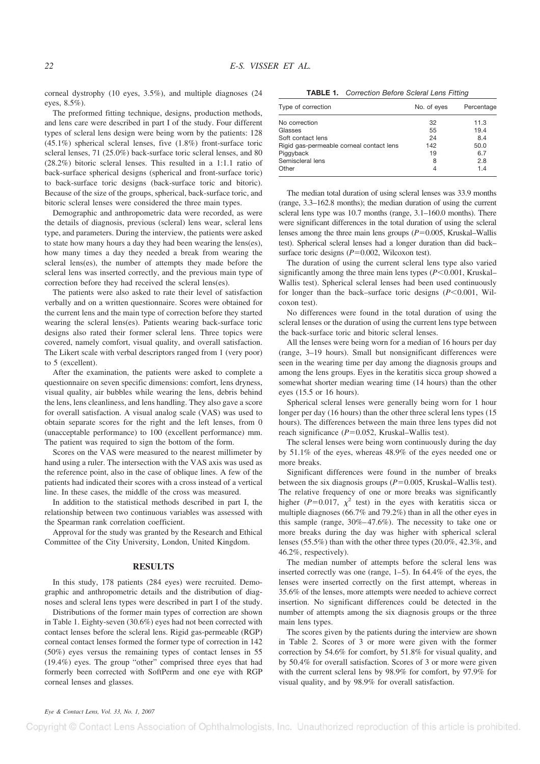corneal dystrophy (10 eyes, 3.5%), and multiple diagnoses (24 eyes, 8.5%).

The preformed fitting technique, designs, production methods, and lens care were described in part I of the study. Four different types of scleral lens design were being worn by the patients: 128 (45.1%) spherical scleral lenses, five (1.8%) front-surface toric scleral lenses, 71 (25.0%) back-surface toric scleral lenses, and 80 (28.2%) bitoric scleral lenses. This resulted in a 1:1.1 ratio of back-surface spherical designs (spherical and front-surface toric) to back-surface toric designs (back-surface toric and bitoric). Because of the size of the groups, spherical, back-surface toric, and bitoric scleral lenses were considered the three main types.

Demographic and anthropometric data were recorded, as were the details of diagnosis, previous (scleral) lens wear, scleral lens type, and parameters. During the interview, the patients were asked to state how many hours a day they had been wearing the lens(es), how many times a day they needed a break from wearing the scleral lens(es), the number of attempts they made before the scleral lens was inserted correctly, and the previous main type of correction before they had received the scleral lens(es).

The patients were also asked to rate their level of satisfaction verbally and on a written questionnaire. Scores were obtained for the current lens and the main type of correction before they started wearing the scleral lens(es). Patients wearing back-surface toric designs also rated their former scleral lens. Three topics were covered, namely comfort, visual quality, and overall satisfaction. The Likert scale with verbal descriptors ranged from 1 (very poor) to 5 (excellent).

After the examination, the patients were asked to complete a questionnaire on seven specific dimensions: comfort, lens dryness, visual quality, air bubbles while wearing the lens, debris behind the lens, lens cleanliness, and lens handling. They also gave a score for overall satisfaction. A visual analog scale (VAS) was used to obtain separate scores for the right and the left lenses, from 0 (unacceptable performance) to 100 (excellent performance) mm. The patient was required to sign the bottom of the form.

Scores on the VAS were measured to the nearest millimeter by hand using a ruler. The intersection with the VAS axis was used as the reference point, also in the case of oblique lines. A few of the patients had indicated their scores with a cross instead of a vertical line. In these cases, the middle of the cross was measured.

In addition to the statistical methods described in part I, the relationship between two continuous variables was assessed with the Spearman rank correlation coefficient.

Approval for the study was granted by the Research and Ethical Committee of the City University, London, United Kingdom.

## **RESULTS**

In this study, 178 patients (284 eyes) were recruited. Demographic and anthropometric details and the distribution of diagnoses and scleral lens types were described in part I of the study.

Distributions of the former main types of correction are shown in Table 1. Eighty-seven (30.6%) eyes had not been corrected with contact lenses before the scleral lens. Rigid gas-permeable (RGP) corneal contact lenses formed the former type of correction in 142 (50%) eyes versus the remaining types of contact lenses in 55 (19.4%) eyes. The group "other" comprised three eyes that had formerly been corrected with SoftPerm and one eye with RGP corneal lenses and glasses.

**TABLE 1.** *Correction Before Scleral Lens Fitting*

| Type of correction                       | No. of eyes | Percentage |
|------------------------------------------|-------------|------------|
| No correction                            | 32          | 11.3       |
| Glasses                                  | 55          | 19.4       |
| Soft contact lens                        | 24          | 8.4        |
| Rigid gas-permeable corneal contact lens | 142         | 50.0       |
| Piggyback                                | 19          | 6.7        |
| Semiscleral lens                         | 8           | 2.8        |
| Other                                    | 4           | 1.4        |

The median total duration of using scleral lenses was 33.9 months (range, 3.3–162.8 months); the median duration of using the current scleral lens type was 10.7 months (range, 3.1–160.0 months). There were significant differences in the total duration of using the scleral lenses among the three main lens groups  $(P=0.005,$  Kruskal–Wallis test). Spherical scleral lenses had a longer duration than did back– surface toric designs ( $P=0.002$ , Wilcoxon test).

The duration of using the current scleral lens type also varied significantly among the three main lens types  $(P<0.001,$  Kruskal– Wallis test). Spherical scleral lenses had been used continuously for longer than the back–surface toric designs ( $P$ <0.001, Wilcoxon test).

No differences were found in the total duration of using the scleral lenses or the duration of using the current lens type between the back-surface toric and bitoric scleral lenses.

All the lenses were being worn for a median of 16 hours per day (range, 3–19 hours). Small but nonsignificant differences were seen in the wearing time per day among the diagnosis groups and among the lens groups. Eyes in the keratitis sicca group showed a somewhat shorter median wearing time (14 hours) than the other eyes (15.5 or 16 hours).

Spherical scleral lenses were generally being worn for 1 hour longer per day (16 hours) than the other three scleral lens types (15 hours). The differences between the main three lens types did not reach significance  $(P=0.052,$  Kruskal–Wallis test).

The scleral lenses were being worn continuously during the day by 51.1% of the eyes, whereas 48.9% of the eyes needed one or more breaks.

Significant differences were found in the number of breaks between the six diagnosis groups  $(P=0.005,$  Kruskal–Wallis test). The relative frequency of one or more breaks was significantly higher ( $P=0.017$ ,  $\chi^2$  test) in the eyes with keratitis sicca or multiple diagnoses (66.7% and 79.2%) than in all the other eyes in this sample (range, 30%–47.6%). The necessity to take one or more breaks during the day was higher with spherical scleral lenses (55.5%) than with the other three types (20.0%, 42.3%, and 46.2%, respectively).

The median number of attempts before the scleral lens was inserted correctly was one (range, 1–5). In 64.4% of the eyes, the lenses were inserted correctly on the first attempt, whereas in 35.6% of the lenses, more attempts were needed to achieve correct insertion. No significant differences could be detected in the number of attempts among the six diagnosis groups or the three main lens types.

The scores given by the patients during the interview are shown in Table 2. Scores of 3 or more were given with the former correction by 54.6% for comfort, by 51.8% for visual quality, and by 50.4% for overall satisfaction. Scores of 3 or more were given with the current scleral lens by 98.9% for comfort, by 97.9% for visual quality, and by 98.9% for overall satisfaction.

*Eye & Contact Lens, Vol. 33, No. 1, 2007*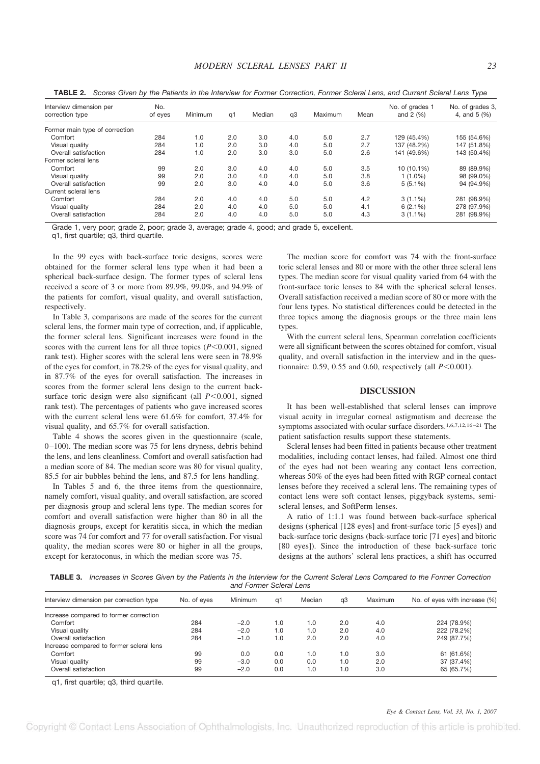|                                            |                |         |     |        |     |         |      |                               | . .                              |
|--------------------------------------------|----------------|---------|-----|--------|-----|---------|------|-------------------------------|----------------------------------|
| Interview dimension per<br>correction type | No.<br>of eyes | Minimum | q1  | Median | q3  | Maximum | Mean | No. of grades 1<br>and $2(%)$ | No. of grades 3.<br>4, and 5 (%) |
| Former main type of correction             |                |         |     |        |     |         |      |                               |                                  |
| Comfort                                    | 284            | 1.0     | 2.0 | 3.0    | 4.0 | 5.0     | 2.7  | 129 (45.4%)                   | 155 (54.6%)                      |
| Visual quality                             | 284            | 1.0     | 2.0 | 3.0    | 4.0 | 5.0     | 2.7  | 137 (48.2%)                   | 147 (51.8%)                      |
| Overall satisfaction                       | 284            | 1.0     | 2.0 | 3.0    | 3.0 | 5.0     | 2.6  | 141 (49.6%)                   | 143 (50.4%)                      |
| Former scleral lens                        |                |         |     |        |     |         |      |                               |                                  |
| Comfort                                    | 99             | 2.0     | 3.0 | 4.0    | 4.0 | 5.0     | 3.5  | 10 (10.1%)                    | 89 (89.9%)                       |
| Visual quality                             | 99             | 2.0     | 3.0 | 4.0    | 4.0 | 5.0     | 3.8  | $1(1.0\%)$                    | 98 (99.0%)                       |
| Overall satisfaction                       | 99             | 2.0     | 3.0 | 4.0    | 4.0 | 5.0     | 3.6  | $5(5.1\%)$                    | 94 (94.9%)                       |
| Current scleral lens                       |                |         |     |        |     |         |      |                               |                                  |
| Comfort                                    | 284            | 2.0     | 4.0 | 4.0    | 5.0 | 5.0     | 4.2  | $3(1.1\%)$                    | 281 (98.9%)                      |
| Visual quality                             | 284            | 2.0     | 4.0 | 4.0    | 5.0 | 5.0     | 4.1  | 6(2.1%)                       | 278 (97.9%)                      |
| Overall satisfaction                       | 284            | 2.0     | 4.0 | 4.0    | 5.0 | 5.0     | 4.3  | $3(1.1\%)$                    | 281 (98.9%)                      |
|                                            |                |         |     |        |     |         |      |                               |                                  |

**TABLE 2.** *Scores Given by the Patients in the Interview for Former Correction, Former Scleral Lens, and Current Scleral Lens Type*

Grade 1, very poor; grade 2, poor; grade 3, average; grade 4, good; and grade 5, excellent. q1, first quartile; q3, third quartile.

In the 99 eyes with back-surface toric designs, scores were obtained for the former scleral lens type when it had been a spherical back-surface design. The former types of scleral lens received a score of 3 or more from 89.9%, 99.0%, and 94.9% of the patients for comfort, visual quality, and overall satisfaction, respectively.

In Table 3, comparisons are made of the scores for the current scleral lens, the former main type of correction, and, if applicable, the former scleral lens. Significant increases were found in the scores with the current lens for all three topics  $(P<0.001$ , signed rank test). Higher scores with the scleral lens were seen in 78.9% of the eyes for comfort, in 78.2% of the eyes for visual quality, and in 87.7% of the eyes for overall satisfaction. The increases in scores from the former scleral lens design to the current backsurface toric design were also significant (all *P*<0.001, signed rank test). The percentages of patients who gave increased scores with the current scleral lens were 61.6% for comfort, 37.4% for visual quality, and 65.7% for overall satisfaction.

Table 4 shows the scores given in the questionnaire (scale, 0–100). The median score was 75 for lens dryness, debris behind the lens, and lens cleanliness. Comfort and overall satisfaction had a median score of 84. The median score was 80 for visual quality, 85.5 for air bubbles behind the lens, and 87.5 for lens handling.

In Tables 5 and 6, the three items from the questionnaire, namely comfort, visual quality, and overall satisfaction, are scored per diagnosis group and scleral lens type. The median scores for comfort and overall satisfaction were higher than 80 in all the diagnosis groups, except for keratitis sicca, in which the median score was 74 for comfort and 77 for overall satisfaction. For visual quality, the median scores were 80 or higher in all the groups, except for keratoconus, in which the median score was 75.

The median score for comfort was 74 with the front-surface toric scleral lenses and 80 or more with the other three scleral lens types. The median score for visual quality varied from 64 with the front-surface toric lenses to 84 with the spherical scleral lenses. Overall satisfaction received a median score of 80 or more with the four lens types. No statistical differences could be detected in the three topics among the diagnosis groups or the three main lens types.

With the current scleral lens, Spearman correlation coefficients were all significant between the scores obtained for comfort, visual quality, and overall satisfaction in the interview and in the questionnaire: 0.59, 0.55 and 0.60, respectively (all  $P < 0.001$ ).

# **DISCUSSION**

It has been well-established that scleral lenses can improve visual acuity in irregular corneal astigmatism and decrease the symptoms associated with ocular surface disorders.1,6,7,12,16–21 The patient satisfaction results support these statements.

Scleral lenses had been fitted in patients because other treatment modalities, including contact lenses, had failed. Almost one third of the eyes had not been wearing any contact lens correction, whereas 50% of the eyes had been fitted with RGP corneal contact lenses before they received a scleral lens. The remaining types of contact lens were soft contact lenses, piggyback systems, semiscleral lenses, and SoftPerm lenses.

A ratio of 1:1.1 was found between back-surface spherical designs (spherical [128 eyes] and front-surface toric [5 eyes]) and back-surface toric designs (back-surface toric [71 eyes] and bitoric [80 eyes]). Since the introduction of these back-surface toric designs at the authors' scleral lens practices, a shift has occurred

**TABLE 3.** *Increases in Scores Given by the Patients in the Interview for the Current Scleral Lens Compared to the Former Correction and Former Scleral Lens*

| Interview dimension per correction type  | No. of eyes | Minimum | q1  | Median | a3  | Maximum | No. of eyes with increase (%) |
|------------------------------------------|-------------|---------|-----|--------|-----|---------|-------------------------------|
| Increase compared to former correction   |             |         |     |        |     |         |                               |
| Comfort                                  | 284         | $-2.0$  | 1.0 | 1.0    | 2.0 | 4.0     | 224 (78.9%)                   |
| Visual quality                           | 284         | $-2.0$  | 1.0 | 1.0    | 2.0 | 4.0     | 222 (78.2%)                   |
| Overall satisfaction                     | 284         | $-1.0$  | 1.0 | 2.0    | 2.0 | 4.0     | 249 (87.7%)                   |
| Increase compared to former scleral lens |             |         |     |        |     |         |                               |
| Comfort                                  | 99          | 0.0     | 0.0 | 1.0    | 1.0 | 3.0     | 61 (61.6%)                    |
| Visual quality                           | 99          | $-3.0$  | 0.0 | 0.0    | 1.0 | 2.0     | 37 (37.4%)                    |
| Overall satisfaction                     | 99          | $-2.0$  | 0.0 | 1.0    | 1.0 | 3.0     | 65 (65.7%)                    |
|                                          |             |         |     |        |     |         |                               |

q1, first quartile; q3, third quartile.

#### *Eye & Contact Lens, Vol. 33, No. 1, 2007*

Copyright © Contact Lens Association of Ophthalmologists, Inc. Unauthorized reproduction of this article is prohibited.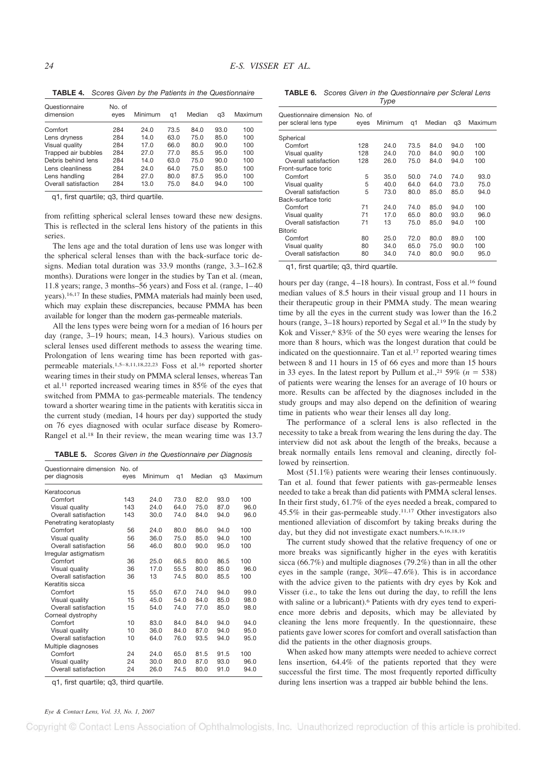**TABLE 4.** *Scores Given by the Patients in the Questionnaire*

| Questionnaire<br>dimension | No. of<br>eyes | Minimum | q1   | Median | a3   | Maximum |
|----------------------------|----------------|---------|------|--------|------|---------|
| Comfort                    | 284            | 24.0    | 73.5 | 84.0   | 93.0 | 100     |
| Lens dryness               | 284            | 14.0    | 63.0 | 75.0   | 85.0 | 100     |
| Visual quality             | 284            | 17.0    | 66.0 | 80.0   | 90.0 | 100     |
| Trapped air bubbles        | 284            | 27.0    | 77.0 | 85.5   | 95.0 | 100     |
| Debris behind lens         | 284            | 14.0    | 63.0 | 75.0   | 90.0 | 100     |
| Lens cleanliness           | 284            | 24.0    | 64.0 | 75.0   | 85.0 | 100     |
| Lens handling              | 284            | 27.0    | 80.0 | 87.5   | 95.0 | 100     |
| Overall satisfaction       | 284            | 13.0    | 75.0 | 84.0   | 94.0 | 100     |

q1, first quartile; q3, third quartile.

from refitting spherical scleral lenses toward these new designs. This is reflected in the scleral lens history of the patients in this series.

The lens age and the total duration of lens use was longer with the spherical scleral lenses than with the back-surface toric designs. Median total duration was 33.9 months (range, 3.3–162.8 months). Durations were longer in the studies by Tan et al. (mean, 11.8 years; range, 3 months–56 years) and Foss et al. (range, 1–40 years).16,17 In these studies, PMMA materials had mainly been used, which may explain these discrepancies, because PMMA has been available for longer than the modern gas-permeable materials.

All the lens types were being worn for a median of 16 hours per day (range, 3–19 hours; mean, 14.3 hours). Various studies on scleral lenses used different methods to assess the wearing time. Prolongation of lens wearing time has been reported with gaspermeable materials.1,5–8,11,18,22,23 Foss et al.<sup>16</sup> reported shorter wearing times in their study on PMMA scleral lenses, whereas Tan et al.<sup>11</sup> reported increased wearing times in 85% of the eyes that switched from PMMA to gas-permeable materials. The tendency toward a shorter wearing time in the patients with keratitis sicca in the current study (median, 14 hours per day) supported the study on 76 eyes diagnosed with ocular surface disease by Romero-Rangel et al.<sup>18</sup> In their review, the mean wearing time was 13.7

**TABLE 5.** *Scores Given in the Questionnaire per Diagnosis*

| Questionnaire dimension<br>per diagnosis | $No$ of<br>eyes | Minimum | q1   | Median | q3   | Maximum |
|------------------------------------------|-----------------|---------|------|--------|------|---------|
| Keratoconus                              |                 |         |      |        |      |         |
| Comfort                                  | 143             | 24.0    | 73.0 | 82.0   | 93.0 | 100     |
| Visual quality                           | 143             | 24.0    | 64.0 | 75.0   | 87.0 | 96.0    |
| Overall satisfaction                     | 143             | 30.0    | 74.0 | 84.0   | 94.0 | 96.0    |
| Penetrating keratoplasty                 |                 |         |      |        |      |         |
| Comfort                                  | 56              | 24.0    | 80.0 | 86.0   | 94.0 | 100     |
| Visual quality                           | 56              | 36.0    | 75.0 | 85.0   | 94.0 | 100     |
| Overall satisfaction                     | 56              | 46.0    | 80.0 | 90.0   | 95.0 | 100     |
| Irregular astigmatism                    |                 |         |      |        |      |         |
| Comfort                                  | 36              | 25.0    | 66.5 | 80.0   | 86.5 | 100     |
| Visual quality                           | 36              | 17.0    | 55.5 | 80.0   | 85.0 | 96.0    |
| Overall satisfaction                     | 36              | 13      | 74.5 | 80.0   | 85.5 | 100     |
| Keratitis sicca                          |                 |         |      |        |      |         |
| Comfort                                  | 15              | 55.0    | 67.0 | 74.0   | 94.0 | 99.0    |
| Visual quality                           | 15              | 45.0    | 54.0 | 84.0   | 85.0 | 98.0    |
| Overall satisfaction                     | 15              | 54.0    | 74.0 | 77.0   | 85.0 | 98.0    |
| Corneal dystrophy                        |                 |         |      |        |      |         |
| Comfort                                  | 10              | 83.0    | 84.0 | 84.0   | 94.0 | 94.0    |
| Visual quality                           | 10              | 36.0    | 84.0 | 87.0   | 94.0 | 95.0    |
| Overall satisfaction                     | 10              | 64.0    | 76.0 | 93.5   | 94.0 | 95.0    |
| Multiple diagnoses                       |                 |         |      |        |      |         |
| Comfort                                  | 24              | 24.0    | 65.0 | 81.5   | 91.5 | $100 -$ |
| Visual quality                           | 24              | 30.0    | 80.0 | 87.0   | 93.0 | 96.0    |
| Overall satisfaction                     | 24              | 26.0    | 74.5 | 80.0   | 91.0 | 94.0    |

q1, first quartile; q3, third quartile.

**TABLE 6.** *Scores Given in the Questionnaire per Scleral Lens Type*

| Questionnaire dimension<br>per scleral lens type | No. of<br>eyes | Minimum | q1   | Median | q3   | Maximum |
|--------------------------------------------------|----------------|---------|------|--------|------|---------|
| Spherical                                        |                |         |      |        |      |         |
| Comfort                                          | 128            | 24.0    | 73.5 | 84.0   | 94.0 | 100     |
| Visual quality                                   | 128            | 24.0    | 70.0 | 84.0   | 90.0 | 100     |
| Overall satisfaction                             | 128            | 26.0    | 75.0 | 84.0   | 94.0 | 100     |
| Front-surface toric                              |                |         |      |        |      |         |
| Comfort                                          | 5              | 35.0    | 50.0 | 74.0   | 74.0 | 93.0    |
| Visual quality                                   | 5              | 40.0    | 64.0 | 64.0   | 73.0 | 75.0    |
| Overall satisfaction                             | 5              | 73.0    | 80.0 | 85.0   | 85.0 | 94.0    |
| Back-surface toric                               |                |         |      |        |      |         |
| Comfort                                          | 71             | 24.0    | 74.0 | 85.0   | 94.0 | 100     |
| Visual quality                                   | 71             | 17.0    | 65.0 | 80.0   | 93.0 | 96.0    |
| Overall satisfaction                             | 71             | 13      | 75.0 | 85.0   | 94.0 | 100     |
| <b>Bitoric</b>                                   |                |         |      |        |      |         |
| Comfort                                          | 80             | 25.0    | 72.0 | 80.0   | 89.0 | 100     |
| Visual quality                                   | 80             | 34.0    | 65.0 | 75.0   | 90.0 | 100     |
| Overall satisfaction                             | 80             | 34.0    | 74.0 | 80.0   | 90.0 | 95.0    |

q1, first quartile; q3, third quartile.

hours per day (range, 4–18 hours). In contrast, Foss et al.<sup>16</sup> found median values of 8.5 hours in their visual group and 11 hours in their therapeutic group in their PMMA study. The mean wearing time by all the eyes in the current study was lower than the 16.2 hours (range, 3–18 hours) reported by Segal et al.<sup>19</sup> In the study by Kok and Visser,<sup>6</sup> 83% of the 50 eyes were wearing the lenses for more than 8 hours, which was the longest duration that could be indicated on the questionnaire. Tan et al.<sup>17</sup> reported wearing times between 8 and 11 hours in 15 of 66 eyes and more than 15 hours in 33 eyes. In the latest report by Pullum et al.,<sup>21</sup> 59% ( $n = 538$ ) of patients were wearing the lenses for an average of 10 hours or more. Results can be affected by the diagnoses included in the study groups and may also depend on the definition of wearing time in patients who wear their lenses all day long.

The performance of a scleral lens is also reflected in the necessity to take a break from wearing the lens during the day. The interview did not ask about the length of the breaks, because a break normally entails lens removal and cleaning, directly followed by reinsertion.

Most (51.1%) patients were wearing their lenses continuously. Tan et al. found that fewer patients with gas-permeable lenses needed to take a break than did patients with PMMA scleral lenses. In their first study, 61.7% of the eyes needed a break, compared to 45.5% in their gas-permeable study.11,17 Other investigators also mentioned alleviation of discomfort by taking breaks during the day, but they did not investigate exact numbers.<sup>6,16,18,19</sup>

The current study showed that the relative frequency of one or more breaks was significantly higher in the eyes with keratitis sicca (66.7%) and multiple diagnoses (79.2%) than in all the other eyes in the sample (range, 30%–47.6%). This is in accordance with the advice given to the patients with dry eyes by Kok and Visser (i.e., to take the lens out during the day, to refill the lens with saline or a lubricant).<sup>6</sup> Patients with dry eyes tend to experience more debris and deposits, which may be alleviated by cleaning the lens more frequently. In the questionnaire, these patients gave lower scores for comfort and overall satisfaction than did the patients in the other diagnosis groups.

When asked how many attempts were needed to achieve correct lens insertion, 64.4% of the patients reported that they were successful the first time. The most frequently reported difficulty during lens insertion was a trapped air bubble behind the lens.